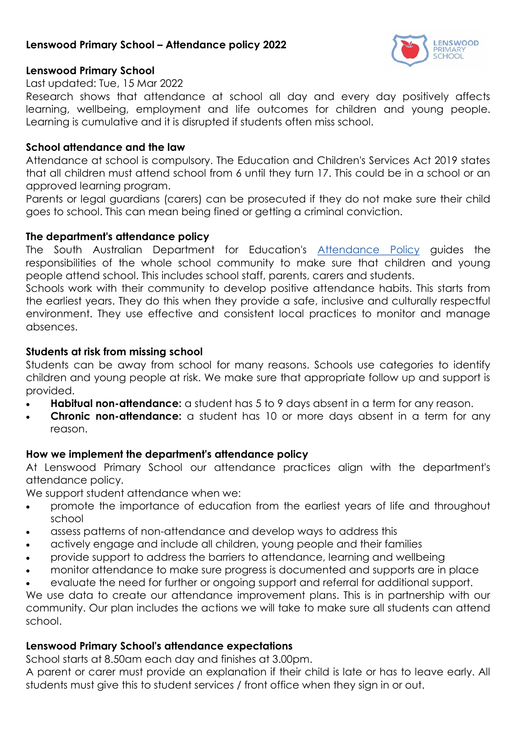## **Lenswood Primary School – Attendance policy 2022**



### **Lenswood Primary School**

#### Last updated: Tue, 15 Mar 2022

Research shows that attendance at school all day and every day positively affects learning, wellbeing, employment and life outcomes for children and young people. Learning is cumulative and it is disrupted if students often miss school.

#### **School attendance and the law**

Attendance at school is compulsory. The Education and Children's Services Act 2019 states that all children must attend school from 6 until they turn 17. This could be in a school or an approved learning program.

Parents or legal guardians (carers) can be prosecuted if they do not make sure their child goes to school. This can mean being fined or getting a criminal conviction.

#### **The department's attendance policy**

The South Australian Department for Education's [Attendance Policy](https://www.education.sa.gov.au/doc/attendance-policy) guides the responsibilities of the whole school community to make sure that children and young people attend school. This includes school staff, parents, carers and students.

Schools work with their community to develop positive attendance habits. This starts from the earliest years. They do this when they provide a safe, inclusive and culturally respectful environment. They use effective and consistent local practices to monitor and manage absences.

#### **Students at risk from missing school**

Students can be away from school for many reasons. Schools use categories to identify children and young people at risk. We make sure that appropriate follow up and support is provided.

- **Habitual non-attendance:** a student has 5 to 9 days absent in a term for any reason.
- **Chronic non-attendance:** a student has 10 or more days absent in a term for any reason.

### **How we implement the department's attendance policy**

At Lenswood Primary School our attendance practices align with the department's attendance policy.

We support student attendance when we:

- promote the importance of education from the earliest years of life and throughout school
- assess patterns of non-attendance and develop ways to address this
- actively engage and include all children, young people and their families
- provide support to address the barriers to attendance, learning and wellbeing
- monitor attendance to make sure progress is documented and supports are in place
- evaluate the need for further or ongoing support and referral for additional support.

We use data to create our attendance improvement plans. This is in partnership with our community. Our plan includes the actions we will take to make sure all students can attend school.

### **Lenswood Primary School's attendance expectations**

School starts at 8.50am each day and finishes at 3.00pm.

A parent or carer must provide an explanation if their child is late or has to leave early. All students must give this to student services / front office when they sign in or out.